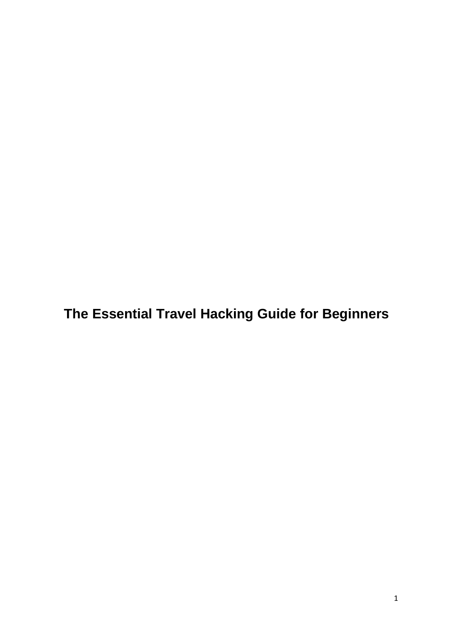**The Essential Travel Hacking Guide for Beginners**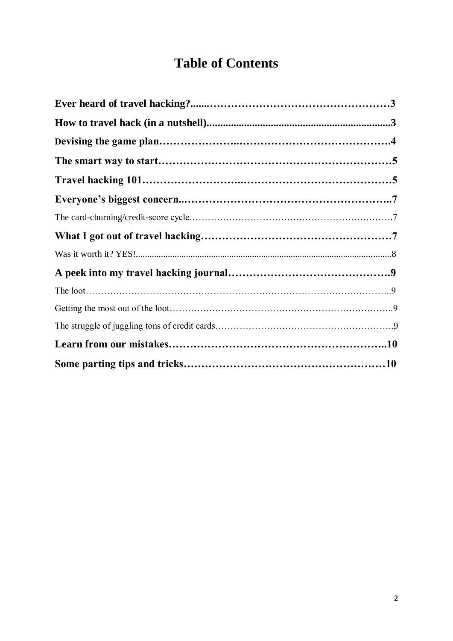# **Table of Contents**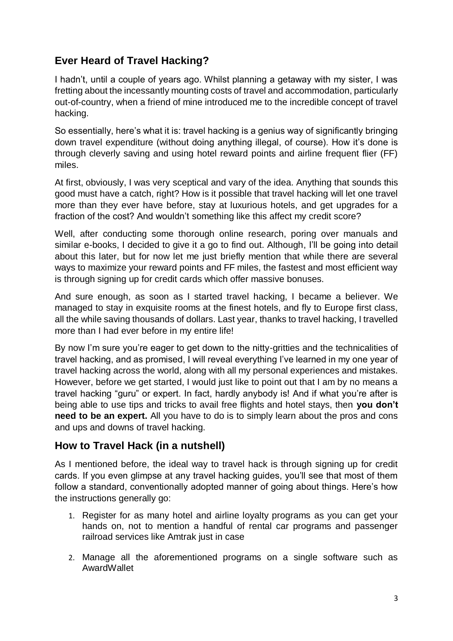# **Ever Heard of Travel Hacking?**

I hadn't, until a couple of years ago. Whilst planning a getaway with my sister, I was fretting about the incessantly mounting costs of travel and accommodation, particularly out-of-country, when a friend of mine introduced me to the incredible concept of travel hacking.

So essentially, here's what it is: travel hacking is a genius way of significantly bringing down travel expenditure (without doing anything illegal, of course). How it's done is through cleverly saving and using hotel reward points and airline frequent flier (FF) miles.

At first, obviously, I was very sceptical and vary of the idea. Anything that sounds this good must have a catch, right? How is it possible that travel hacking will let one travel more than they ever have before, stay at luxurious hotels, and get upgrades for a fraction of the cost? And wouldn't something like this affect my credit score?

Well, after conducting some thorough online research, poring over manuals and similar e-books, I decided to give it a go to find out. Although, I'll be going into detail about this later, but for now let me just briefly mention that while there are several ways to maximize your reward points and FF miles, the fastest and most efficient way is through signing up for credit cards which offer massive bonuses.

And sure enough, as soon as I started travel hacking, I became a believer. We managed to stay in exquisite rooms at the finest hotels, and fly to Europe first class, all the while saving thousands of dollars. Last year, thanks to travel hacking, I travelled more than I had ever before in my entire life!

By now I'm sure you're eager to get down to the nitty-gritties and the technicalities of travel hacking, and as promised, I will reveal everything I've learned in my one year of travel hacking across the world, along with all my personal experiences and mistakes. However, before we get started, I would just like to point out that I am by no means a travel hacking "guru" or expert. In fact, hardly anybody is! And if what you're after is being able to use tips and tricks to avail free flights and hotel stays, then **you don't need to be an expert.** All you have to do is to simply learn about the pros and cons and ups and downs of travel hacking.

### **How to Travel Hack (in a nutshell)**

As I mentioned before, the ideal way to travel hack is through signing up for credit cards. If you even glimpse at any travel hacking guides, you'll see that most of them follow a standard, conventionally adopted manner of going about things. Here's how the instructions generally go:

- 1. Register for as many hotel and airline loyalty programs as you can get your hands on, not to mention a handful of rental car programs and passenger railroad services like Amtrak just in case
- 2. Manage all the aforementioned programs on a single software such as AwardWallet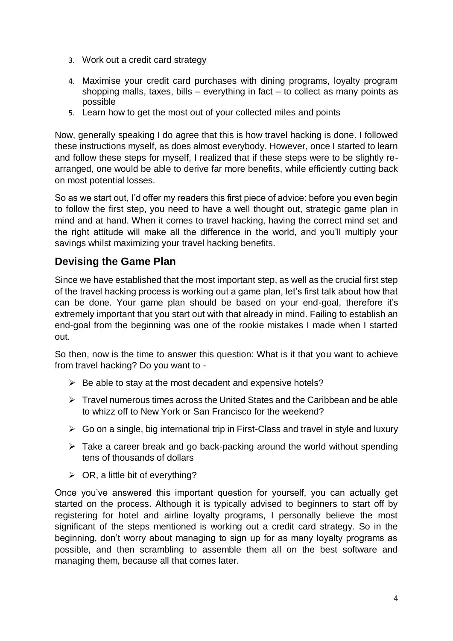- 3. Work out a credit card strategy
- 4. Maximise your credit card purchases with dining programs, loyalty program shopping malls, taxes, bills – everything in fact – to collect as many points as possible
- 5. Learn how to get the most out of your collected miles and points

Now, generally speaking I do agree that this is how travel hacking is done. I followed these instructions myself, as does almost everybody. However, once I started to learn and follow these steps for myself, I realized that if these steps were to be slightly rearranged, one would be able to derive far more benefits, while efficiently cutting back on most potential losses.

So as we start out, I'd offer my readers this first piece of advice: before you even begin to follow the first step, you need to have a well thought out, strategic game plan in mind and at hand. When it comes to travel hacking, having the correct mind set and the right attitude will make all the difference in the world, and you'll multiply your savings whilst maximizing your travel hacking benefits.

### **Devising the Game Plan**

Since we have established that the most important step, as well as the crucial first step of the travel hacking process is working out a game plan, let's first talk about how that can be done. Your game plan should be based on your end-goal, therefore it's extremely important that you start out with that already in mind. Failing to establish an end-goal from the beginning was one of the rookie mistakes I made when I started out.

So then, now is the time to answer this question: What is it that you want to achieve from travel hacking? Do you want to -

- $\triangleright$  Be able to stay at the most decadent and expensive hotels?
- $\triangleright$  Travel numerous times across the United States and the Caribbean and be able to whizz off to New York or San Francisco for the weekend?
- $\triangleright$  Go on a single, big international trip in First-Class and travel in style and luxury
- $\triangleright$  Take a career break and go back-packing around the world without spending tens of thousands of dollars
- $\triangleright$  OR, a little bit of everything?

Once you've answered this important question for yourself, you can actually get started on the process. Although it is typically advised to beginners to start off by registering for hotel and airline loyalty programs, I personally believe the most significant of the steps mentioned is working out a credit card strategy. So in the beginning, don't worry about managing to sign up for as many loyalty programs as possible, and then scrambling to assemble them all on the best software and managing them, because all that comes later.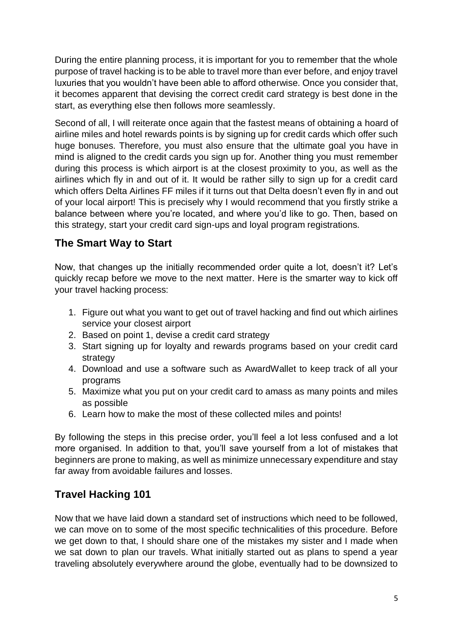During the entire planning process, it is important for you to remember that the whole purpose of travel hacking is to be able to travel more than ever before, and enjoy travel luxuries that you wouldn't have been able to afford otherwise. Once you consider that, it becomes apparent that devising the correct credit card strategy is best done in the start, as everything else then follows more seamlessly.

Second of all, I will reiterate once again that the fastest means of obtaining a hoard of airline miles and hotel rewards points is by signing up for credit cards which offer such huge bonuses. Therefore, you must also ensure that the ultimate goal you have in mind is aligned to the credit cards you sign up for. Another thing you must remember during this process is which airport is at the closest proximity to you, as well as the airlines which fly in and out of it. It would be rather silly to sign up for a credit card which offers Delta Airlines FF miles if it turns out that Delta doesn't even fly in and out of your local airport! This is precisely why I would recommend that you firstly strike a balance between where you're located, and where you'd like to go. Then, based on this strategy, start your credit card sign-ups and loyal program registrations.

### **The Smart Way to Start**

Now, that changes up the initially recommended order quite a lot, doesn't it? Let's quickly recap before we move to the next matter. Here is the smarter way to kick off your travel hacking process:

- 1. Figure out what you want to get out of travel hacking and find out which airlines service your closest airport
- 2. Based on point 1, devise a credit card strategy
- 3. Start signing up for loyalty and rewards programs based on your credit card strategy
- 4. Download and use a software such as AwardWallet to keep track of all your programs
- 5. Maximize what you put on your credit card to amass as many points and miles as possible
- 6. Learn how to make the most of these collected miles and points!

By following the steps in this precise order, you'll feel a lot less confused and a lot more organised. In addition to that, you'll save yourself from a lot of mistakes that beginners are prone to making, as well as minimize unnecessary expenditure and stay far away from avoidable failures and losses.

# **Travel Hacking 101**

Now that we have laid down a standard set of instructions which need to be followed, we can move on to some of the most specific technicalities of this procedure. Before we get down to that, I should share one of the mistakes my sister and I made when we sat down to plan our travels. What initially started out as plans to spend a year traveling absolutely everywhere around the globe, eventually had to be downsized to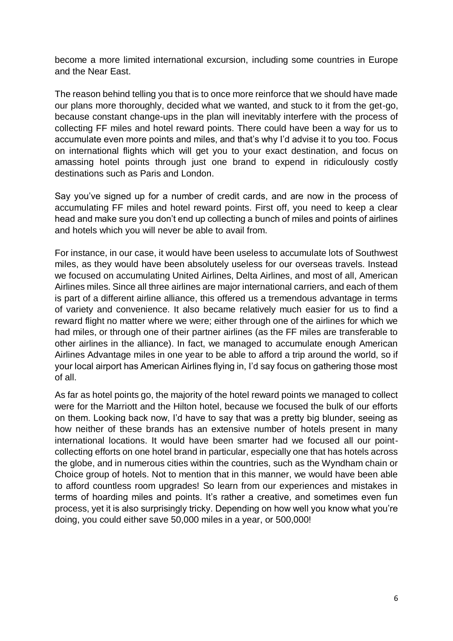become a more limited international excursion, including some countries in Europe and the Near East.

The reason behind telling you that is to once more reinforce that we should have made our plans more thoroughly, decided what we wanted, and stuck to it from the get-go, because constant change-ups in the plan will inevitably interfere with the process of collecting FF miles and hotel reward points. There could have been a way for us to accumulate even more points and miles, and that's why I'd advise it to you too. Focus on international flights which will get you to your exact destination, and focus on amassing hotel points through just one brand to expend in ridiculously costly destinations such as Paris and London.

Say you've signed up for a number of credit cards, and are now in the process of accumulating FF miles and hotel reward points. First off, you need to keep a clear head and make sure you don't end up collecting a bunch of miles and points of airlines and hotels which you will never be able to avail from.

For instance, in our case, it would have been useless to accumulate lots of Southwest miles, as they would have been absolutely useless for our overseas travels. Instead we focused on accumulating United Airlines, Delta Airlines, and most of all, American Airlines miles. Since all three airlines are major international carriers, and each of them is part of a different airline alliance, this offered us a tremendous advantage in terms of variety and convenience. It also became relatively much easier for us to find a reward flight no matter where we were; either through one of the airlines for which we had miles, or through one of their partner airlines (as the FF miles are transferable to other airlines in the alliance). In fact, we managed to accumulate enough American Airlines Advantage miles in one year to be able to afford a trip around the world, so if your local airport has American Airlines flying in, I'd say focus on gathering those most of all.

As far as hotel points go, the majority of the hotel reward points we managed to collect were for the Marriott and the Hilton hotel, because we focused the bulk of our efforts on them. Looking back now, I'd have to say that was a pretty big blunder, seeing as how neither of these brands has an extensive number of hotels present in many international locations. It would have been smarter had we focused all our pointcollecting efforts on one hotel brand in particular, especially one that has hotels across the globe, and in numerous cities within the countries, such as the Wyndham chain or Choice group of hotels. Not to mention that in this manner, we would have been able to afford countless room upgrades! So learn from our experiences and mistakes in terms of hoarding miles and points. It's rather a creative, and sometimes even fun process, yet it is also surprisingly tricky. Depending on how well you know what you're doing, you could either save 50,000 miles in a year, or 500,000!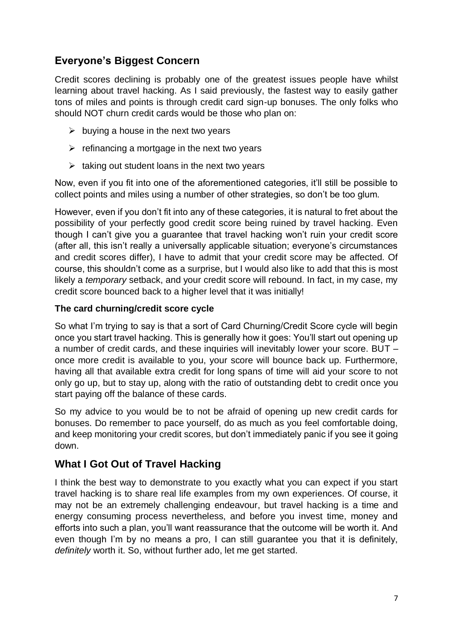# **Everyone's Biggest Concern**

Credit scores declining is probably one of the greatest issues people have whilst learning about travel hacking. As I said previously, the fastest way to easily gather tons of miles and points is through credit card sign-up bonuses. The only folks who should NOT churn credit cards would be those who plan on:

- $\triangleright$  buying a house in the next two years
- $\triangleright$  refinancing a mortgage in the next two years
- $\triangleright$  taking out student loans in the next two years

Now, even if you fit into one of the aforementioned categories, it'll still be possible to collect points and miles using a number of other strategies, so don't be too glum.

However, even if you don't fit into any of these categories, it is natural to fret about the possibility of your perfectly good credit score being ruined by travel hacking. Even though I can't give you a guarantee that travel hacking won't ruin your credit score (after all, this isn't really a universally applicable situation; everyone's circumstances and credit scores differ), I have to admit that your credit score may be affected. Of course, this shouldn't come as a surprise, but I would also like to add that this is most likely a *temporary* setback, and your credit score will rebound. In fact, in my case, my credit score bounced back to a higher level that it was initially!

#### **The card churning/credit score cycle**

So what I'm trying to say is that a sort of Card Churning/Credit Score cycle will begin once you start travel hacking. This is generally how it goes: You'll start out opening up a number of credit cards, and these inquiries will inevitably lower your score. BUT – once more credit is available to you, your score will bounce back up. Furthermore, having all that available extra credit for long spans of time will aid your score to not only go up, but to stay up, along with the ratio of outstanding debt to credit once you start paying off the balance of these cards.

So my advice to you would be to not be afraid of opening up new credit cards for bonuses. Do remember to pace yourself, do as much as you feel comfortable doing, and keep monitoring your credit scores, but don't immediately panic if you see it going down.

# **What I Got Out of Travel Hacking**

I think the best way to demonstrate to you exactly what you can expect if you start travel hacking is to share real life examples from my own experiences. Of course, it may not be an extremely challenging endeavour, but travel hacking is a time and energy consuming process nevertheless, and before you invest time, money and efforts into such a plan, you'll want reassurance that the outcome will be worth it. And even though I'm by no means a pro, I can still guarantee you that it is definitely, *definitely* worth it. So, without further ado, let me get started.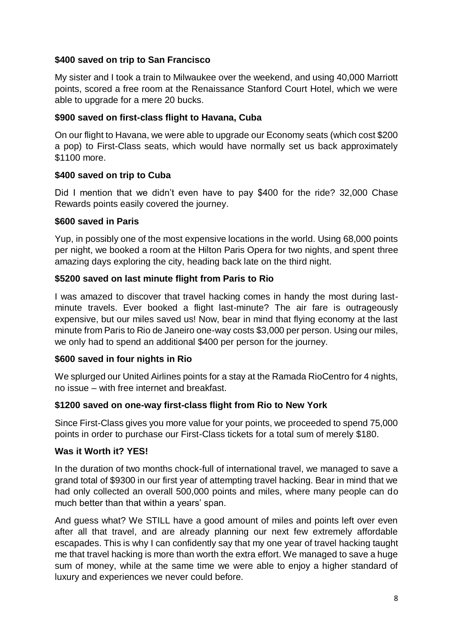#### **\$400 saved on trip to San Francisco**

My sister and I took a train to Milwaukee over the weekend, and using 40,000 Marriott points, scored a free room at the Renaissance Stanford Court Hotel, which we were able to upgrade for a mere 20 bucks.

#### **\$900 saved on first-class flight to Havana, Cuba**

On our flight to Havana, we were able to upgrade our Economy seats (which cost \$200 a pop) to First-Class seats, which would have normally set us back approximately \$1100 more.

#### **\$400 saved on trip to Cuba**

Did I mention that we didn't even have to pay \$400 for the ride? 32,000 Chase Rewards points easily covered the journey.

#### **\$600 saved in Paris**

Yup, in possibly one of the most expensive locations in the world. Using 68,000 points per night, we booked a room at the Hilton Paris Opera for two nights, and spent three amazing days exploring the city, heading back late on the third night.

#### **\$5200 saved on last minute flight from Paris to Rio**

I was amazed to discover that travel hacking comes in handy the most during lastminute travels. Ever booked a flight last-minute? The air fare is outrageously expensive, but our miles saved us! Now, bear in mind that flying economy at the last minute from Paris to Rio de Janeiro one-way costs \$3,000 per person. Using our miles, we only had to spend an additional \$400 per person for the journey.

#### **\$600 saved in four nights in Rio**

We splurged our United Airlines points for a stay at the Ramada RioCentro for 4 nights, no issue – with free internet and breakfast.

#### **\$1200 saved on one-way first-class flight from Rio to New York**

Since First-Class gives you more value for your points, we proceeded to spend 75,000 points in order to purchase our First-Class tickets for a total sum of merely \$180.

#### **Was it Worth it? YES!**

In the duration of two months chock-full of international travel, we managed to save a grand total of \$9300 in our first year of attempting travel hacking. Bear in mind that we had only collected an overall 500,000 points and miles, where many people can do much better than that within a years' span.

And guess what? We STILL have a good amount of miles and points left over even after all that travel, and are already planning our next few extremely affordable escapades. This is why I can confidently say that my one year of travel hacking taught me that travel hacking is more than worth the extra effort. We managed to save a huge sum of money, while at the same time we were able to enjoy a higher standard of luxury and experiences we never could before.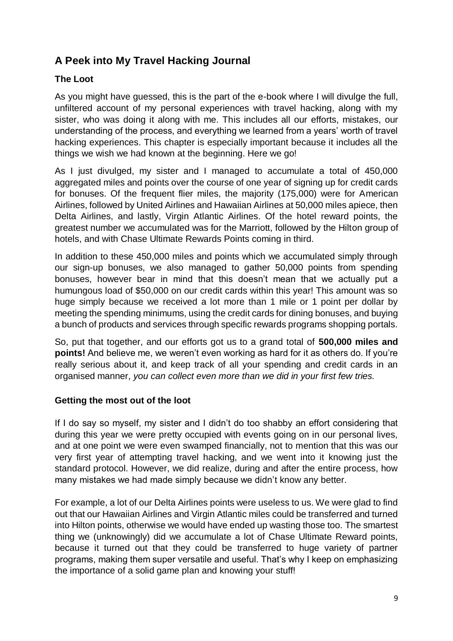# **A Peek into My Travel Hacking Journal**

#### **The Loot**

As you might have guessed, this is the part of the e-book where I will divulge the full, unfiltered account of my personal experiences with travel hacking, along with my sister, who was doing it along with me. This includes all our efforts, mistakes, our understanding of the process, and everything we learned from a years' worth of travel hacking experiences. This chapter is especially important because it includes all the things we wish we had known at the beginning. Here we go!

As I just divulged, my sister and I managed to accumulate a total of 450,000 aggregated miles and points over the course of one year of signing up for credit cards for bonuses. Of the frequent flier miles, the majority (175,000) were for American Airlines, followed by United Airlines and Hawaiian Airlines at 50,000 miles apiece, then Delta Airlines, and lastly, Virgin Atlantic Airlines. Of the hotel reward points, the greatest number we accumulated was for the Marriott, followed by the Hilton group of hotels, and with Chase Ultimate Rewards Points coming in third.

In addition to these 450,000 miles and points which we accumulated simply through our sign-up bonuses, we also managed to gather 50,000 points from spending bonuses, however bear in mind that this doesn't mean that we actually put a humungous load of \$50,000 on our credit cards within this year! This amount was so huge simply because we received a lot more than 1 mile or 1 point per dollar by meeting the spending minimums, using the credit cards for dining bonuses, and buying a bunch of products and services through specific rewards programs shopping portals.

So, put that together, and our efforts got us to a grand total of **500,000 miles and points!** And believe me, we weren't even working as hard for it as others do. If you're really serious about it, and keep track of all your spending and credit cards in an organised manner, *you can collect even more than we did in your first few tries.*

#### **Getting the most out of the loot**

If I do say so myself, my sister and I didn't do too shabby an effort considering that during this year we were pretty occupied with events going on in our personal lives, and at one point we were even swamped financially, not to mention that this was our very first year of attempting travel hacking, and we went into it knowing just the standard protocol. However, we did realize, during and after the entire process, how many mistakes we had made simply because we didn't know any better.

For example, a lot of our Delta Airlines points were useless to us. We were glad to find out that our Hawaiian Airlines and Virgin Atlantic miles could be transferred and turned into Hilton points, otherwise we would have ended up wasting those too. The smartest thing we (unknowingly) did we accumulate a lot of Chase Ultimate Reward points, because it turned out that they could be transferred to huge variety of partner programs, making them super versatile and useful. That's why I keep on emphasizing the importance of a solid game plan and knowing your stuff!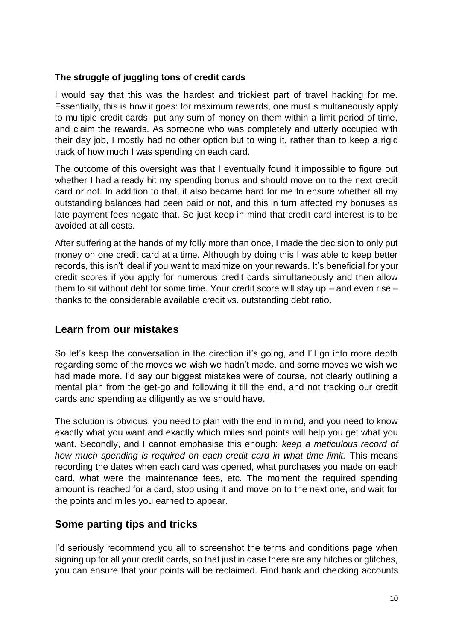#### **The struggle of juggling tons of credit cards**

I would say that this was the hardest and trickiest part of travel hacking for me. Essentially, this is how it goes: for maximum rewards, one must simultaneously apply to multiple credit cards, put any sum of money on them within a limit period of time, and claim the rewards. As someone who was completely and utterly occupied with their dav iob, I mostly had no other option but to wing it, rather than to keep a rigid track of how much I was spending on each card.

The outcome of this oversight was that I eventually found it impossible to figure out whether I had already hit my spending bonus and should move on to the next credit card or not. In addition to that, it also became hard for me to ensure whether all my outstanding balances had been paid or not, and this in turn affected my bonuses as late payment fees negate that. So just keep in mind that credit card interest is to be avoided at all costs.

After suffering at the hands of my folly more than once, I made the decision to only put money on one credit card at a time. Although by doing this I was able to keep better records, this isn't ideal if you want to maximize on your rewards. It's beneficial for your credit scores if you apply for numerous credit cards simultaneously and then allow them to sit without debt for some time. Your credit score will stay up – and even rise – thanks to the considerable available credit vs. outstanding debt ratio.

### **Learn from our mistakes**

So let's keep the conversation in the direction it's going, and I'll go into more depth regarding some of the moves we wish we hadn't made, and some moves we wish we had made more. I'd say our biggest mistakes were of course, not clearly outlining a mental plan from the get-go and following it till the end, and not tracking our credit cards and spending as diligently as we should have.

The solution is obvious: you need to plan with the end in mind, and you need to know exactly what you want and exactly which miles and points will help you get what you want. Secondly, and I cannot emphasise this enough: *keep a meticulous record of how much spending is required on each credit card in what time limit.* This means recording the dates when each card was opened, what purchases you made on each card, what were the maintenance fees, etc. The moment the required spending amount is reached for a card, stop using it and move on to the next one, and wait for the points and miles you earned to appear.

### **Some parting tips and tricks**

I'd seriously recommend you all to screenshot the terms and conditions page when signing up for all your credit cards, so that just in case there are any hitches or glitches, you can ensure that your points will be reclaimed. Find bank and checking accounts